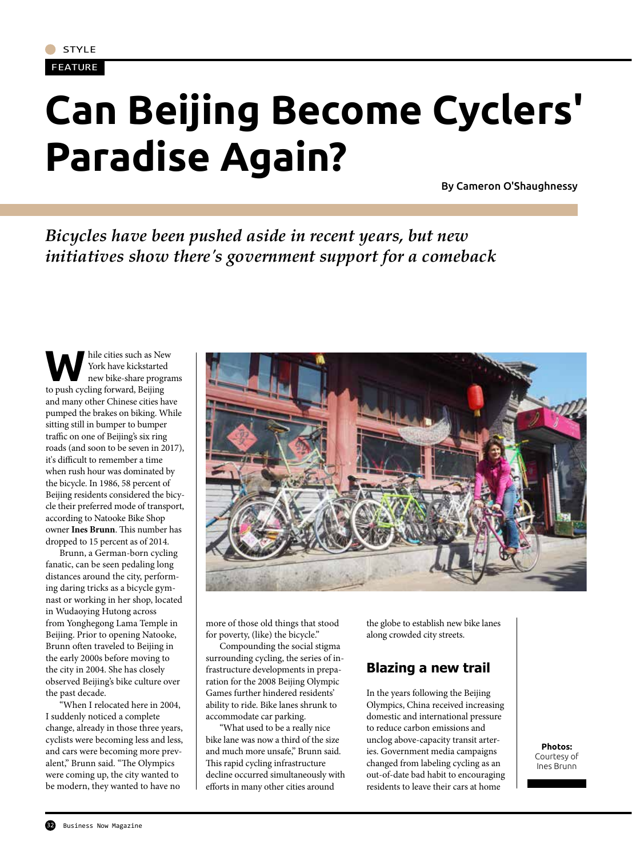#### FEATURE

# **Can Beijing Become Cyclers' Paradise Again?**

By Cameron O'Shaughnessy

# *Bicycles have been pushed aside in recent years, but new initiatives show there's government support for a comeback*

while cities such as New York have kickstarted<br>the while-share programs<br>to gush and Pailipe York have kickstarted to push cycling forward, Beijing and many other Chinese cities have pumped the brakes on biking. While sitting still in bumper to bumper traffic on one of Beijing's six ring roads (and soon to be seven in 2017), it's difficult to remember a time when rush hour was dominated by the bicycle. In 1986, 58 percent of Beijing residents considered the bicycle their preferred mode of transport, according to Natooke Bike Shop owner **Ines Brunn**. This number has dropped to 15 percent as of 2014.

Brunn, a German-born cycling fanatic, can be seen pedaling long distances around the city, performing daring tricks as a bicycle gymnast or working in her shop, located in Wudaoying Hutong across from Yonghegong Lama Temple in Beijing. Prior to opening Natooke, Brunn often traveled to Beijing in the early 2000s before moving to the city in 2004. She has closely observed Beijing's bike culture over the past decade.

"When I relocated here in 2004, I suddenly noticed a complete change, already in those three years, cyclists were becoming less and less, and cars were becoming more prevalent," Brunn said. "The Olympics were coming up, the city wanted to be modern, they wanted to have no



more of those old things that stood for poverty, (like) the bicycle."

Compounding the social stigma surrounding cycling, the series of infrastructure developments in preparation for the 2008 Beijing Olympic Games further hindered residents' ability to ride. Bike lanes shrunk to accommodate car parking.

"What used to be a really nice bike lane was now a third of the size and much more unsafe," Brunn said. This rapid cycling infrastructure decline occurred simultaneously with efforts in many other cities around

the globe to establish new bike lanes along crowded city streets.

## **Blazing a new trail**

In the years following the Beijing Olympics, China received increasing domestic and international pressure to reduce carbon emissions and unclog above-capacity transit arteries. Government media campaigns changed from labeling cycling as an out-of-date bad habit to encouraging residents to leave their cars at home

**Photos:** Courtesy of Ines Brunn